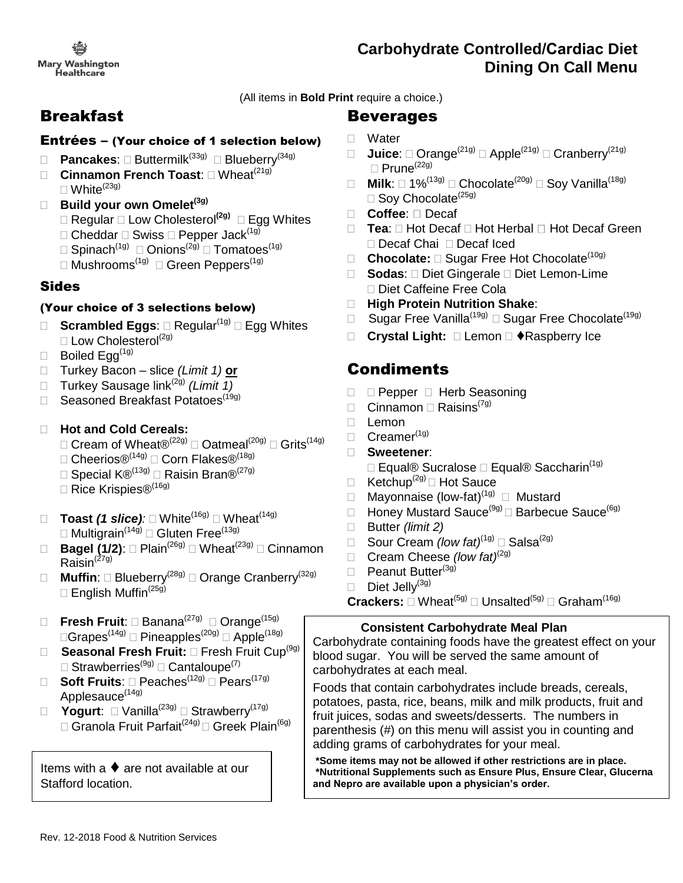**Mary Washington** Healthcare

# **Carbohydrate Controlled/Cardiac Diet Dining On Call Menu**

(All items in **Bold Print** require a choice.)

# Breakfast

#### Entrées – (Your choice of 1 selection below)

- □ **Pancakes**: □ Buttermilk<sup>(33g)</sup> □ Blueberry<sup>(34g)</sup>
- **Cinnamon French Toast: N** Wheat<sup>(21g)</sup>
	- $\Box$  White<sup>(23g)</sup>

#### **Build your own Omelet(3g)**

- Regular Low Cholesterol**(2g)** Egg Whites
- $\Box$  Cheddar  $\Box$  Swiss  $\Box$  Pepper Jack<sup>(1g)</sup>
- $\Box$  Spinach $^{(1g)}$   $\Box$  Onions $^{(2g)}$   $\Box$  Tomatoes $^{(1g)}$
- $\Box$  Mushrooms $^{(\text{1g})}\ \Box$  Green Peppers $^{(\text{1g})}$

### Sides

### (Your choice of 3 selections below)

- **Scrambled Eggs:**  $\Box$  Regular<sup>(1g)</sup>  $\Box$  Egg Whites  $\square$  Low Cholesterol<sup>(2g)</sup>
- $\Box$  Boiled Egg<sup>(1g)</sup>
- Turkey Bacon slice *(Limit 1)* **or**
- □ Turkey Sausage link<sup>(2g)</sup> (Limit 1)
- □ Seasoned Breakfast Potatoes<sup>(19g)</sup>

### **Hot and Cold Cereals:**

- $\Box$  Cream of Wheat®<sup>(22g)</sup>  $\Box$  Oatmeal<sup>(20g)</sup>  $\Box$  Grits<sup>(14g)</sup>
- $\square$  Cheerios®<sup>(14g)</sup>  $\square$  Corn Flakes®<sup>(18g)</sup>
- $\Box$  Special K $\mathbb{B}^{(13g)}$   $\Box$  Raisin Bran $\mathbb{B}^{(27g)}$
- □ Rice Krispies®<sup>(16g)</sup>
- **Toast** *(1 slice):* White(16g) Wheat(14g) □ Multigrain<sup>(14g)</sup> □ Gluten Free<sup>(13g)</sup>
- □ **Bagel (1/2)**: □ Plain<sup>(26g)</sup> □ Wheat<sup>(23g)</sup> □ Cinnamon  $Rai$ sin<sup> $(27g)$ </sup>
- □ Muffin: □ Blueberry<sup>(28g)</sup> □ Orange Cranberry<sup>(32g)</sup>  $\Box$  English Muffin<sup>(25g)</sup>
- □ Fresh Fruit: □ Banana<sup>(27g)</sup> □ Orange<sup>(15g)</sup>  $\Box \mathsf{Grapes}^{(\mathsf{14g})}\, \Box$  Pineapples $^{(\mathsf{20g})}\, \Box$  Apple $^{(\mathsf{18g})}$
- □ **Seasonal Fresh Fruit:** □ Fresh Fruit Cup<sup>(9g)</sup>  $\Box$  Strawberries ${}^{(\text{9g})}\Box$  Cantaloupe ${}^{(7)}$
- □ Soft Fruits: □ Peaches<sup>(12g)</sup> □ Pears<sup>(17g)</sup> Applesauce<sup>(14g)</sup>
- □ Yogurt: □ Vanilla<sup>(23g)</sup> □ Strawberry<sup>(17g)</sup> | <del>|</del>  $\Box$  Granola Fruit Parfait $^{(24g)}\Box$  Greek Plain $^{(6g)}$

Items with a  $\blacklozenge$  are not available at our Stafford location.

# Beverages

- □ Water
- **Juice**:  $\Box$  Orange<sup>(21g)</sup>  $\Box$  Apple<sup>(21g)</sup>  $\Box$  Cranberry<sup>(21g)</sup>  $\Box$  Prune<sup>(22g)</sup>
- **Milk**:  $\Box$  1%<sup>(13g)</sup>  $\Box$  Chocolate<sup>(20g)</sup>  $\Box$  Soy Vanilla<sup>(18g)</sup>  $\Box$  Soy Chocolate<sup>(25g)</sup>
- □ **Coffee**: □ Decaf
- □ **Tea**: □ Hot Decaf □ Hot Herbal □ Hot Decaf Green □ Decaf Chai □ Decaf Iced
- □ **Chocolate:** □ Sugar Free Hot Chocolate<sup>(10g)</sup>
- **Sodas**: Diet Gingerale Diet Lemon-Lime □ Diet Caffeine Free Cola
- **High Protein Nutrition Shake**:
- □ Sugar Free Vanilla<sup>(19g)</sup> □ Sugar Free Chocolate<sup>(19g)</sup>
- □ Crystal Light: □ Lemon □ ◆Raspberry Ice

# **Condiments**

- D **Pepper D Herb Seasoning**
- $\Box$  Cinnamon  $\Box$  Raisins<sup>(7g)</sup>
- $\Box$  Lemon
- $\Box$  Creamer<sup>(1g)</sup>
- **Sweetener**:
	- □ Equal® Sucralose □ Equal® Saccharin<sup>(1g)</sup>
- $\Box$  Ketchup<sup>(2g)</sup>  $\Box$  Hot Sauce
- □ Mayonnaise (low-fat)<sup>(1g)</sup> □ Mustard
- $\Box$  Honey Mustard Sauce<sup>(9g)</sup>  $\Box$  Barbecue Sauce<sup>(6g)</sup>
- Butter *(limit 2)*
- Sour Cream *(low fat)*(1g) Salsa(2g)
- Cream Cheese *(low fat)*(2g)
- **Peanut Butter<sup>(3g)</sup>**
- $\Box$  Diet Jelly<sup>(3g)</sup>

 $\mathsf{Crackers} \colon \Box\ \mathsf{Wheat}^{(5g)} \sqsubset \mathsf{Unsalted}^{(5g)} \sqsubset \mathsf{Graham}^{(16g)}$ 

### **Consistent Carbohydrate Meal Plan**

Carbohydrate containing foods have the greatest effect on your blood sugar. You will be served the same amount of carbohydrates at each meal.

Foods that contain carbohydrates include breads, cereals, potatoes, pasta, rice, beans, milk and milk products, fruit and fruit juices, sodas and sweets/desserts. The numbers in parenthesis (#) on this menu will assist you in counting and adding grams of carbohydrates for your meal.

**\*Some items may not be allowed if other restrictions are in place. \*Nutritional Supplements such as Ensure Plus, Ensure Clear, Glucerna and Nepro are available upon a physician's order.**